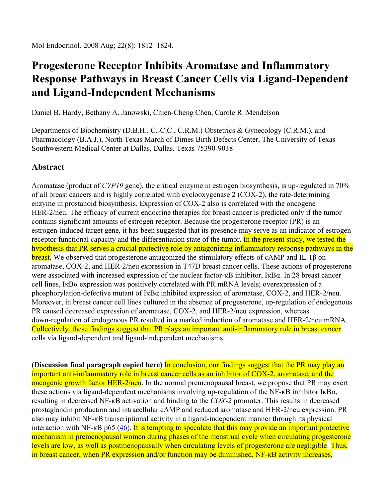# **Progesterone Receptor Inhibits Aromatase and Inflammatory Response Pathways in Breast Cancer Cells via Ligand-Dependent and Ligand-Independent Mechanisms**

Daniel B. Hardy, Bethany A. Janowski, Chien-Cheng Chen, Carole R. Mendelson

Departments of Biochemistry (D.B.H., C.-C.C., C.R.M.) Obstetrics & Gynecology (C.R.M.), and Pharmacology (B.A.J.), North Texas March of Dimes Birth Defects Center, The University of Texas Southwestern Medical Center at Dallas, Dallas, Texas 75390-9038

### **Abstract**

Aromatase (product of *CYP19* gene), the critical enzyme in estrogen biosynthesis, is up-regulated in 70% of all breast cancers and is highly correlated with cyclooxygenase 2 (COX-2), the rate-determining enzyme in prostanoid biosynthesis. Expression of COX-2 also is correlated with the oncogene HER-2/neu. The efficacy of current endocrine therapies for breast cancer is predicted only if the tumor contains significant amounts of estrogen receptor. Because the progesterone receptor (PR) is an estrogen-induced target gene, it has been suggested that its presence may serve as an indicator of estrogen receptor functional capacity and the differentiation state of the tumor. In the present study, we tested the hypothesis that PR serves a crucial protective role by antagonizing inflammatory response pathways in the breast. We observed that progesterone antagonized the stimulatory effects of cAMP and IL-1β on aromatase, COX-2, and HER-2/neu expression in T47D breast cancer cells. These actions of progesterone were associated with increased expression of the nuclear factor-κB inhibitor, IκBα. In 28 breast cancer cell lines, IκBα expression was positively correlated with PR mRNA levels; overexpression of a phosphorylation-defective mutant of  $I\kappa Ba$  inhibited expression of aromatase, COX-2, and HER-2/neu. Moreover, in breast cancer cell lines cultured in the absence of progesterone, up-regulation of endogenous PR caused decreased expression of aromatase, COX-2, and HER-2/neu expression, whereas down-regulation of endogenous PR resulted in a marked induction of aromatase and HER-2/neu mRNA. Collectively, these findings suggest that PR plays an important anti-inflammatory role in breast cancer cells via ligand-dependent and ligand-independent mechanisms.

**(Discussion final paragraph copied here)** In conclusion, our findings suggest that the PR may play an important anti-inflammatory role in breast cancer cells as an inhibitor of COX-2, aromatase, and the oncogenic growth factor HER-2/neu. In the normal premenopausal breast, we propose that PR may exert these actions via ligand-dependent mechanisms involving up-regulation of the NF-κB inhibitor IκBα, resulting in decreased NF-κB activation and binding to the *COX-2* promoter. This results in decreased prostaglandin production and intracellular cAMP and reduced aromatase and HER-2/neu expression. PR also may inhibit NF-κB transcriptional activity in a ligand-independent manner through its physical interaction with NF-κB p65 [\(46](https://www.ncbi.nlm.nih.gov/pmc/articles/PMC2725768/?report=printable#B46)). It is tempting to speculate that this may provide an important protective mechanism in premenopausal women during phases of the menstrual cycle when circulating progesterone levels are low, as well as postmenopausally when circulating levels of progesterone are negligible. Thus, in breast cancer, when PR expression and/or function may be diminished, NF-κB activity increases,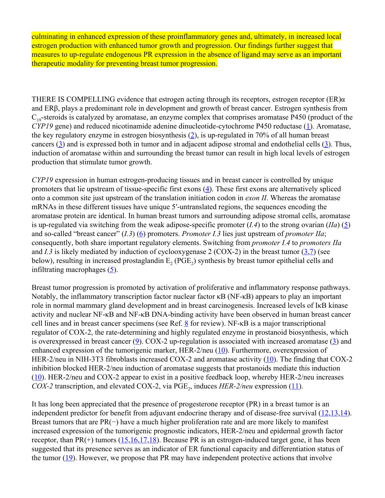culminating in enhanced expression of these proinflammatory genes and, ultimately, in increased local estrogen production with enhanced tumor growth and progression. Our findings further suggest that measures to up-regulate endogenous PR expression in the absence of ligand may serve as an important therapeutic modality for preventing breast tumor progression.

THERE IS COMPELLING evidence that estrogen acting through its receptors, estrogen receptor  $(ER)\alpha$ and ERβ, plays a predominant role in development and growth of breast cancer. Estrogen synthesis from  $C_{19}$ -steroids is catalyzed by aromatase, an enzyme complex that comprises aromatase P450 (product of the *CYP19* gene) and reduced nicotinamide adenine dinucleotide-cytochrome P450 reductase ([1\)](https://www.ncbi.nlm.nih.gov/pmc/articles/PMC2725768/?report=printable#B1). Aromatase, the key regulatory enzyme in estrogen biosynthesis [\(2](https://www.ncbi.nlm.nih.gov/pmc/articles/PMC2725768/?report=printable#B2)), is up-regulated in 70% of all human breast cancers [\(3](https://www.ncbi.nlm.nih.gov/pmc/articles/PMC2725768/?report=printable#B3)) and is expressed both in tumor and in adjacent adipose stromal and endothelial cells ([3](https://www.ncbi.nlm.nih.gov/pmc/articles/PMC2725768/?report=printable#B3)). Thus, induction of aromatase within and surrounding the breast tumor can result in high local levels of estrogen production that stimulate tumor growth.

*CYP19* expression in human estrogen-producing tissues and in breast cancer is controlled by unique promoters that lie upstream of tissue-specific first exons ([4\)](https://www.ncbi.nlm.nih.gov/pmc/articles/PMC2725768/?report=printable#B4). These first exons are alternatively spliced onto a common site just upstream of the translation initiation codon in *exon II*. Whereas the aromatase mRNAs in these different tissues have unique 5′-untranslated regions, the sequences encoding the aromatase protein are identical. In human breast tumors and surrounding adipose stromal cells, aromatase is up-regulated via switching from the weak adipose-specific promoter (*I.4*) to the strong ovarian (*IIa*) ([5\)](https://www.ncbi.nlm.nih.gov/pmc/articles/PMC2725768/?report=printable#B5) and so-called "breast cancer" (*I.3*) [\(6](https://www.ncbi.nlm.nih.gov/pmc/articles/PMC2725768/?report=printable#B6)) promoters. *Promoter I.3* lies just upstream of *promoter IIa*; consequently, both share important regulatory elements. Switching from *promoter I.4* to *promoters IIa* and *I.3* is likely mediated by induction of cyclooxygenase 2 (COX-2) in the breast tumor  $(\frac{3}{2}, \frac{7}{2})$  (see below), resulting in increased prostaglandin  $E_2$  (PGE<sub>2</sub>) synthesis by breast tumor epithelial cells and infiltrating macrophages  $(5)$  $(5)$  $(5)$ .

Breast tumor progression is promoted by activation of proliferative and inflammatory response pathways. Notably, the inflammatory transcription factor nuclear factor κB (NF-κB) appears to play an important role in normal mammary gland development and in breast carcinogenesis. Increased levels of IκB kinase activity and nuclear NF-κB and NF-κB DNA-binding activity have been observed in human breast cancer cell lines and in breast cancer specimens (see Ref. [8](https://www.ncbi.nlm.nih.gov/pmc/articles/PMC2725768/?report=printable#B8) for review). NF-κB is a major transcriptional regulator of COX-2, the rate-determining and highly regulated enzyme in prostanoid biosynthesis, which is overexpressed in breast cancer [\(9](https://www.ncbi.nlm.nih.gov/pmc/articles/PMC2725768/?report=printable#B9)). COX-2 up-regulation is associated with increased aromatase ([3\)](https://www.ncbi.nlm.nih.gov/pmc/articles/PMC2725768/?report=printable#B3) and enhanced expression of the tumorigenic marker, HER-2/neu [\(10](https://www.ncbi.nlm.nih.gov/pmc/articles/PMC2725768/?report=printable#B10)). Furthermore, overexpression of HER-2/neu in NIH-3T3 fibroblasts increased COX-2 and aromatase activity ([10](https://www.ncbi.nlm.nih.gov/pmc/articles/PMC2725768/?report=printable#B10)). The finding that COX-2 inhibition blocked HER-2/neu induction of aromatase suggests that prostanoids mediate this induction ([10\)](https://www.ncbi.nlm.nih.gov/pmc/articles/PMC2725768/?report=printable#B10). HER-2/neu and COX-2 appear to exist in a positive feedback loop, whereby HER-2/neu increases *COX-2* transcription, and elevated COX-2, via PGE<sub>2</sub>, induces *HER-2/neu* expression  $(11)$  $(11)$ .

It has long been appreciated that the presence of progesterone receptor (PR) in a breast tumor is an independent predictor for benefit from adjuvant endocrine therapy and of disease-free survival ([12,](https://www.ncbi.nlm.nih.gov/pmc/articles/PMC2725768/?report=printable#B12)[13,](https://www.ncbi.nlm.nih.gov/pmc/articles/PMC2725768/?report=printable#B13)[14\)](https://www.ncbi.nlm.nih.gov/pmc/articles/PMC2725768/?report=printable#B14). Breast tumors that are PR(−) have a much higher proliferation rate and are more likely to manifest increased expression of the tumorigenic prognostic indicators, HER-2/neu and epidermal growth factor receptor, than  $PR(+)$  tumors  $(15,16,17,18)$  $(15,16,17,18)$  $(15,16,17,18)$  $(15,16,17,18)$  $(15,16,17,18)$ . Because PR is an estrogen-induced target gene, it has been suggested that its presence serves as an indicator of ER functional capacity and differentiation status of the tumor ([19\)](https://www.ncbi.nlm.nih.gov/pmc/articles/PMC2725768/?report=printable#B19). However, we propose that PR may have independent protective actions that involve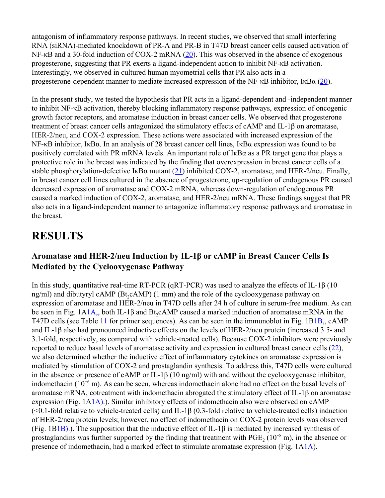antagonism of inflammatory response pathways. In recent studies, we observed that small interfering RNA (siRNA)-mediated knockdown of PR-A and PR-B in T47D breast cancer cells caused activation of NF-κB and a 30-fold induction of COX-2 mRNA ([20](https://www.ncbi.nlm.nih.gov/pmc/articles/PMC2725768/?report=printable#B20)). This was observed in the absence of exogenous progesterone, suggesting that PR exerts a ligand-independent action to inhibit NF-κB activation. Interestingly, we observed in cultured human myometrial cells that PR also acts in a progesterone-dependent manner to mediate increased expression of the NF-κB inhibitor, IκBα ([20](https://www.ncbi.nlm.nih.gov/pmc/articles/PMC2725768/?report=printable#B20)).

In the present study, we tested the hypothesis that PR acts in a ligand-dependent and -independent manner to inhibit NF-κB activation, thereby blocking inflammatory response pathways, expression of oncogenic growth factor receptors, and aromatase induction in breast cancer cells. We observed that progesterone treatment of breast cancer cells antagonized the stimulatory effects of cAMP and IL-1β on aromatase, HER-2/neu, and COX-2 expression. These actions were associated with increased expression of the NF-κB inhibitor, IκBα. In an analysis of 28 breast cancer cell lines, IκBα expression was found to be positively correlated with PR mRNA levels. An important role of IκBα as a PR target gene that plays a protective role in the breast was indicated by the finding that overexpression in breast cancer cells of a stable phosphorylation-defective IκBα mutant ([21\)](https://www.ncbi.nlm.nih.gov/pmc/articles/PMC2725768/?report=printable#B21) inhibited COX-2, aromatase, and HER-2/neu. Finally, in breast cancer cell lines cultured in the absence of progesterone, up-regulation of endogenous PR caused decreased expression of aromatase and COX-2 mRNA, whereas down-regulation of endogenous PR caused a marked induction of COX-2, aromatase, and HER-2/neu mRNA. These findings suggest that PR also acts in a ligand-independent manner to antagonize inflammatory response pathways and aromatase in the breast.

# **RESULTS**

# **Aromatase and HER-2/neu Induction by IL-1β or cAMP in Breast Cancer Cells Is Mediated by the Cyclooxygenase Pathway**

In this study, quantitative real-time RT-PCR (qRT-PCR) was used to analyze the effects of IL-1β (10 ng/ml) and dibutyryl cAMP (Bt,cAMP) (1 mm) and the role of the cyclooxygenase pathway on expression of aromatase and HER-2/neu in T47D cells after 24 h of culture in serum-free medium. As can be seen in Fig. 1A[1A,,](https://www.ncbi.nlm.nih.gov/pmc/articles/PMC2725768/figure/F1/) both IL-1 $\beta$  and Bt, cAMP caused a marked induction of aromatase mRNA in the T47D cells (see Table 1[1](https://www.ncbi.nlm.nih.gov/pmc/articles/PMC2725768/table/T1/) for primer sequences). As can be seen in the immunoblot in Fig. 1B[1B,](https://www.ncbi.nlm.nih.gov/pmc/articles/PMC2725768/figure/F1/), cAMP and IL-1β also had pronounced inductive effects on the levels of HER-2/neu protein (increased 3.5- and 3.1-fold, respectively, as compared with vehicle-treated cells). Because COX-2 inhibitors were previously reported to reduce basal levels of aromatase activity and expression in cultured breast cancer cells ([22](https://www.ncbi.nlm.nih.gov/pmc/articles/PMC2725768/?report=printable#B22)), we also determined whether the inductive effect of inflammatory cytokines on aromatase expression is mediated by stimulation of COX-2 and prostaglandin synthesis. To address this, T47D cells were cultured in the absence or presence of cAMP or IL-1β (10 ng/ml) with and without the cyclooxygenase inhibitor, indomethacin (10−6 m). As can be seen, whereas indomethacin alone had no effect on the basal levels of aromatase mRNA, cotreatment with indomethacin abrogated the stimulatory effect of IL-1β on aromatase expression (Fig. 1A[1A\).](https://www.ncbi.nlm.nih.gov/pmc/articles/PMC2725768/figure/F1/)). Similar inhibitory effects of indomethacin also were observed on cAMP (<0.1-fold relative to vehicle-treated cells) and IL-1β (0.3-fold relative to vehicle-treated cells) induction of HER-2/neu protein levels; however, no effect of indomethacin on COX-2 protein levels was observed (Fig. 1B[1B\).\)](https://www.ncbi.nlm.nih.gov/pmc/articles/PMC2725768/figure/F1/). The supposition that the inductive effect of IL-1β is mediated by increased synthesis of prostaglandins was further supported by the finding that treatment with  $PGE_2(10^{-8} \text{ m})$ , in the absence or presence of indomethacin, had a marked effect to stimulate aromatase expression (Fig. 1A[1A](https://www.ncbi.nlm.nih.gov/pmc/articles/PMC2725768/figure/F1/)).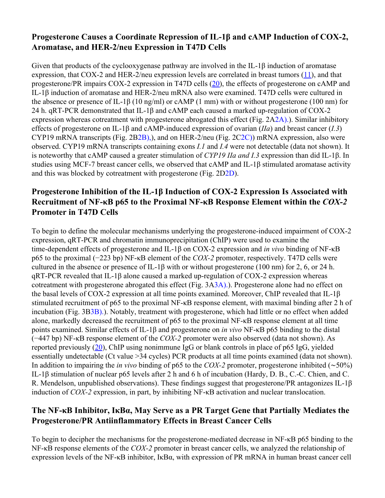#### **Progesterone Causes a Coordinate Repression of IL-1β and cAMP Induction of COX-2, Aromatase, and HER-2/neu Expression in T47D Cells**

Given that products of the cyclooxygenase pathway are involved in the IL-1β induction of aromatase expression, that COX-2 and HER-2/neu expression levels are correlated in breast tumors ([11](https://www.ncbi.nlm.nih.gov/pmc/articles/PMC2725768/?report=printable#B11)), and that progesterone/PR impairs COX-2 expression in T47D cells ([20\)](https://www.ncbi.nlm.nih.gov/pmc/articles/PMC2725768/?report=printable#B20), the effects of progesterone on cAMP and IL-1β induction of aromatase and HER-2/neu mRNA also were examined. T47D cells were cultured in the absence or presence of IL-1β (10 ng/ml) or cAMP (1 mm) with or without progesterone (100 nm) for 24 h. qRT-PCR demonstrated that IL-1β and cAMP each caused a marked up-regulation of COX-2 expression whereas cotreatment with progesterone abrogated this effect (Fig. 2[A2A\).](https://www.ncbi.nlm.nih.gov/pmc/articles/PMC2725768/figure/F2/)). Similar inhibitory effects of progesterone on IL-1β and cAMP-induced expression of ovarian (*IIa*) and breast cancer (*I.3*) CYP19 mRNA transcripts (Fig. 2B[2B\),\)](https://www.ncbi.nlm.nih.gov/pmc/articles/PMC2725768/figure/F2/), and on HER-2/neu (Fig. 2[C2C\)](https://www.ncbi.nlm.nih.gov/pmc/articles/PMC2725768/figure/F2/)) mRNA expression, also were observed. CYP19 mRNA transcripts containing exons *I.1* and *I.4* were not detectable (data not shown). It is noteworthy that cAMP caused a greater stimulation of *CYP19 IIa and I.3* expression than did IL-1β. In studies using MCF-7 breast cancer cells, we observed that cAMP and IL-1β stimulated aromatase activity and this was blocked by cotreatment with progesterone (Fig. 2[D2D\)](https://www.ncbi.nlm.nih.gov/pmc/articles/PMC2725768/figure/F2/).

### **Progesterone Inhibition of the IL-1β Induction of COX-2 Expression Is Associated with Recruitment of NF-κB p65 to the Proximal NF-κB Response Element within the** *COX-2* **Promoter in T47D Cells**

To begin to define the molecular mechanisms underlying the progesterone-induced impairment of COX-2 expression, qRT-PCR and chromatin immunoprecipitation (ChIP) were used to examine the time-dependent effects of progesterone and IL-1β on COX-2 expression and *in vivo* binding of NF-κB p65 to the proximal (−223 bp) NF-κB element of the *COX-2* promoter, respectively. T47D cells were cultured in the absence or presence of IL-1β with or without progesterone (100 nm) for 2, 6, or 24 h. qRT-PCR revealed that IL-1β alone caused a marked up-regulation of COX-2 expression whereas cotreatment with progesterone abrogated this effect (Fig. 3A[3A\).](https://www.ncbi.nlm.nih.gov/pmc/articles/PMC2725768/figure/F3/)). Progesterone alone had no effect on the basal levels of COX-2 expression at all time points examined. Moreover, ChIP revealed that IL-1β stimulated recruitment of p65 to the proximal NF-κB response element, with maximal binding after 2 h of incubation (Fig. 3B[3B\).](https://www.ncbi.nlm.nih.gov/pmc/articles/PMC2725768/figure/F3/)). Notably, treatment with progesterone, which had little or no effect when added alone, markedly decreased the recruitment of p65 to the proximal NF-κB response element at all time points examined. Similar effects of IL-1β and progesterone on *in vivo* NF-κB p65 binding to the distal (−447 bp) NF-κB response element of the *COX-2* promoter were also observed (data not shown). As reported previously ([20](https://www.ncbi.nlm.nih.gov/pmc/articles/PMC2725768/?report=printable#B20)), ChIP using nonimmune IgG or blank controls in place of p65 IgG, yielded essentially undetectable (Ct value >34 cycles) PCR products at all time points examined (data not shown). In addition to impairing the *in vivo* binding of p65 to the *COX-2* promoter, progesterone inhibited (∼50%) IL-1β stimulation of nuclear p65 levels after 2 h and 6 h of incubation (Hardy, D. B., C.-C. Chien, and C. R. Mendelson, unpublished observations). These findings suggest that progesterone/PR antagonizes IL-1β induction of *COX-2* expression, in part, by inhibiting NF-κB activation and nuclear translocation.

### **The NF-κB Inhibitor, IκBα, May Serve as a PR Target Gene that Partially Mediates the Progesterone/PR Antiinflammatory Effects in Breast Cancer Cells**

To begin to decipher the mechanisms for the progesterone-mediated decrease in NF-κB p65 binding to the NF-κB response elements of the *COX-2* promoter in breast cancer cells, we analyzed the relationship of expression levels of the NF-κB inhibitor, IκBα, with expression of PR mRNA in human breast cancer cell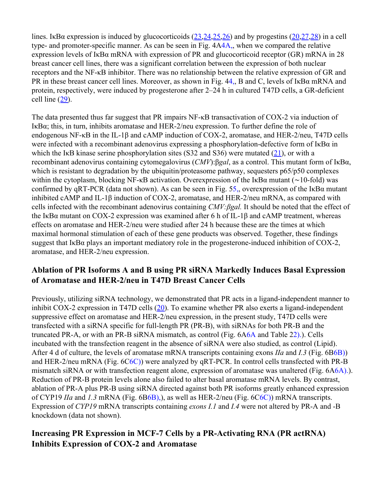lines. IkBa expression is induced by glucocorticoids  $(23,24,25,26)$  $(23,24,25,26)$  $(23,24,25,26)$  $(23,24,25,26)$  $(23,24,25,26)$  and by progestins  $(20,27,28)$  $(20,27,28)$  $(20,27,28)$  $(20,27,28)$  in a cell type- and promoter-specific manner. As can be seen in Fig. 4[A4A,,](https://www.ncbi.nlm.nih.gov/pmc/articles/PMC2725768/figure/F4/) when we compared the relative expression levels of IκBα mRNA with expression of PR and glucocorticoid receptor (GR) mRNA in 28 breast cancer cell lines, there was a significant correlation between the expression of both nuclear receptors and the NF-κB inhibitor. There was no relationship between the relative expression of GR and PR in these breast cancer cell lines. Moreover, as shown in Fig.  $44<sub>.,</sub>$  B and C, levels of I $\kappa$ B $\alpha$  mRNA and protein, respectively, were induced by progesterone after 2–24 h in cultured T47D cells, a GR-deficient cell line ([29\)](https://www.ncbi.nlm.nih.gov/pmc/articles/PMC2725768/?report=printable#B29).

The data presented thus far suggest that PR impairs NF-κB transactivation of COX-2 via induction of IκBα; this, in turn, inhibits aromatase and HER-2/neu expression. To further define the role of endogenous NF-κB in the IL-1β and cAMP induction of COX-2, aromatase, and HER-2/neu, T47D cells were infected with a recombinant adenovirus expressing a phosphorylation-defective form of IκBα in which the I<sub>K</sub>B kinase serine phosphorylation sites (S32 and S36) were mutated ([21\)](https://www.ncbi.nlm.nih.gov/pmc/articles/PMC2725768/?report=printable#B21), or with a recombinant adenovirus containing cytomegalovirus (*CMV*):β*gal*, as a control. This mutant form of IκBα, which is resistant to degradation by the ubiquitin/proteasome pathway, sequesters p65/p50 complexes within the cytoplasm, blocking NF-κB activation. Overexpression of the IκBα mutant (∼10-fold) was confirmed by qRT-PCR (data not shown). As can be seen in Fig. [55,,](https://www.ncbi.nlm.nih.gov/pmc/articles/PMC2725768/figure/F5/) overexpression of the I $\kappa$ B $\alpha$  mutant inhibited cAMP and IL-1β induction of COX-2, aromatase, and HER-2/neu mRNA, as compared with cells infected with the recombinant adenovirus containing *CMV:βgal.* It should be noted that the effect of the IκBα mutant on COX-2 expression was examined after 6 h of IL-1β and cAMP treatment, whereas effects on aromatase and HER-2/neu were studied after 24 h because these are the times at which maximal hormonal stimulation of each of these gene products was observed. Together, these findings suggest that IκBα plays an important mediatory role in the progesterone-induced inhibition of COX-2, aromatase, and HER-2/neu expression.

#### **Ablation of PR Isoforms A and B using PR siRNA Markedly Induces Basal Expression of Aromatase and HER-2/neu in T47D Breast Cancer Cells**

Previously, utilizing siRNA technology, we demonstrated that PR acts in a ligand-independent manner to inhibit COX-2 expression in T47D cells ([20\)](https://www.ncbi.nlm.nih.gov/pmc/articles/PMC2725768/?report=printable#B20). To examine whether PR also exerts a ligand-independent suppressive effect on aromatase and HER-2/neu expression, in the present study, T47D cells were transfected with a siRNA specific for full-length PR (PR-B), with siRNAs for both PR-B and the truncated PR-A, or with an PR-B siRNA mismatch, as control (Fig. 6[A6A](https://www.ncbi.nlm.nih.gov/pmc/articles/PMC2725768/figure/F6/) and Table [22\).\)](https://www.ncbi.nlm.nih.gov/pmc/articles/PMC2725768/table/T2/). Cells incubated with the transfection reagent in the absence of siRNA were also studied, as control (Lipid). After 4 d of culture, the levels of aromatase mRNA transcripts containing exons *IIa* and *I.3* (Fig. 6B[6B\)\)](https://www.ncbi.nlm.nih.gov/pmc/articles/PMC2725768/figure/F6/) and HER-2/neu mRNA (Fig. 6C[6C\)](https://www.ncbi.nlm.nih.gov/pmc/articles/PMC2725768/figure/F6/)) were analyzed by qRT-PCR. In control cells transfected with PR-B mismatch siRNA or with transfection reagent alone, expression of aromatase was unaltered (Fig. 6[A6A\).](https://www.ncbi.nlm.nih.gov/pmc/articles/PMC2725768/figure/F6/)). Reduction of PR-B protein levels alone also failed to alter basal aromatase mRNA levels. By contrast, ablation of PR-A plus PR-B using siRNA directed against both PR isoforms greatly enhanced expression of CYP19 *IIa* and *1.3* mRNA (Fig. 6B[6B\),\)](https://www.ncbi.nlm.nih.gov/pmc/articles/PMC2725768/figure/F6/), as well as HER-2/neu (Fig. 6C[6C\)](https://www.ncbi.nlm.nih.gov/pmc/articles/PMC2725768/figure/F6/)) mRNA transcripts. Expression of *CYP19* mRNA transcripts containing *exons I.1* and *I.4* were not altered by PR-A and -B knockdown (data not shown).

### **Increasing PR Expression in MCF-7 Cells by a PR-Activating RNA (PR actRNA) Inhibits Expression of COX-2 and Aromatase**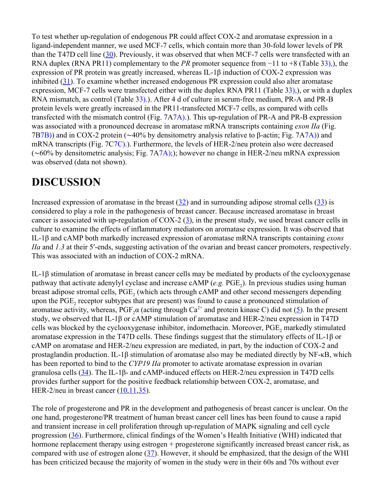To test whether up-regulation of endogenous PR could affect COX-2 and aromatase expression in a ligand-independent manner, we used MCF-7 cells, which contain more than 30-fold lower levels of PR than the T47D cell line ([30](https://www.ncbi.nlm.nih.gov/pmc/articles/PMC2725768/?report=printable#B30)). Previously, it was observed that when MCF-7 cells were transfected with an RNA duplex (RNA PR11) complementary to the *PR* promoter sequence from −11 to +8 (Table 3[3\),\)](https://www.ncbi.nlm.nih.gov/pmc/articles/PMC2725768/table/T3/), the expression of PR protein was greatly increased, whereas IL-1β induction of COX-2 expression was inhibited ([31](https://www.ncbi.nlm.nih.gov/pmc/articles/PMC2725768/?report=printable#B31)). To examine whether increased endogenous PR expression could also alter aromatase expression, MCF-7 cells were transfected either with the duplex RNA PR11 (Table 3[3\),](https://www.ncbi.nlm.nih.gov/pmc/articles/PMC2725768/table/T3/)), or with a duplex RNA mismatch, as control (Table 3[3\).\)](https://www.ncbi.nlm.nih.gov/pmc/articles/PMC2725768/table/T3/). After 4 d of culture in serum-free medium, PR-A and PR-B protein levels were greatly increased in the PR11-transfected MCF-7 cells, as compared with cells transfected with the mismatch control (Fig. 7[A7A\).](https://www.ncbi.nlm.nih.gov/pmc/articles/PMC2725768/figure/F7/)). This up-regulation of PR-A and PR-B expression was associated with a pronounced decrease in aromatase mRNA transcripts containing *exon IIa* (Fig. 7[B7B\)](https://www.ncbi.nlm.nih.gov/pmc/articles/PMC2725768/figure/F7/)) and in COX-2 protein (∼40% by densitometry analysis relative to β-actin; Fig. 7A[7A\)\)](https://www.ncbi.nlm.nih.gov/pmc/articles/PMC2725768/figure/F7/) and mRNA transcripts (Fig. 7C[7C\).](https://www.ncbi.nlm.nih.gov/pmc/articles/PMC2725768/figure/F7/)). Furthermore, the levels of HER-2/neu protein also were decreased (∼60% by densitometric analysis; Fig. 7A[7A\);\)](https://www.ncbi.nlm.nih.gov/pmc/articles/PMC2725768/figure/F7/); however no change in HER-2/neu mRNA expression was observed (data not shown).

# **DISCUSSION**

Increased expression of aromatase in the breast ([32\)](https://www.ncbi.nlm.nih.gov/pmc/articles/PMC2725768/?report=printable#B32) and in surrounding adipose stromal cells [\(33](https://www.ncbi.nlm.nih.gov/pmc/articles/PMC2725768/?report=printable#B33)) is considered to play a role in the pathogenesis of breast cancer. Because increased aromatase in breast cancer is associated with up-regulation of COX-2 ([3\)](https://www.ncbi.nlm.nih.gov/pmc/articles/PMC2725768/?report=printable#B3), in the present study, we used breast cancer cells in culture to examine the effects of inflammatory mediators on aromatase expression. It was observed that IL-1β and cAMP both markedly increased expression of aromatase mRNA transcripts containing *exons IIa* and *1.3* at their 5′-ends, suggesting activation of the ovarian and breast cancer promoters, respectively. This was associated with an induction of COX-2 mRNA.

IL-1β stimulation of aromatase in breast cancer cells may be mediated by products of the cyclooxygenase pathway that activate adenylyl cyclase and increase cAMP (*e.g.* PGE<sub>2</sub>). In previous studies using human breast adipose stromal cells,  $PGE_2$  (which acts through cAMP and other second messengers depending upon the  $PGE_2$  receptor subtypes that are present) was found to cause a pronounced stimulation of aromatase activity, whereas,  $PGF_2\alpha$  (acting through  $Ca^{2+}$  and protein kinase C) did not ([5\)](https://www.ncbi.nlm.nih.gov/pmc/articles/PMC2725768/?report=printable#B5). In the present study, we observed that IL-1β or cAMP stimulation of aromatase and HER-2/neu expression in T47D cells was blocked by the cyclooxygenase inhibitor, indomethacin. Moreover,  $PGE_2$  markedly stimulated aromatase expression in the T47D cells. These findings suggest that the stimulatory effects of IL-1β or cAMP on aromatase and HER-2/neu expression are mediated, in part, by the induction of COX-2 and prostaglandin production. IL-1β stimulation of aromatase also may be mediated directly by NF- $\kappa$ B, which has been reported to bind to the *CYP19 IIa* promoter to activate aromatase expression in ovarian granulosa cells  $(34)$  $(34)$  $(34)$ . The IL-1 $\beta$ - and cAMP-induced effects on HER-2/neu expression in T47D cells provides further support for the positive feedback relationship between COX-2, aromatase, and HER-2/neu in breast cancer  $(10,11,35)$  $(10,11,35)$  $(10,11,35)$  $(10,11,35)$  $(10,11,35)$ .

The role of progesterone and PR in the development and pathogenesis of breast cancer is unclear. On the one hand, progesterone/PR treatment of human breast cancer cell lines has been found to cause a rapid and transient increase in cell proliferation through up-regulation of MAPK signaling and cell cycle progression [\(36](https://www.ncbi.nlm.nih.gov/pmc/articles/PMC2725768/?report=printable#B36)). Furthermore, clinical findings of the Women's Health Initiative (WHI) indicated that hormone replacement therapy using estrogen + progesterone significantly increased breast cancer risk, as compared with use of estrogen alone ([37\)](https://www.ncbi.nlm.nih.gov/pmc/articles/PMC2725768/?report=printable#B37). However, it should be emphasized, that the design of the WHI has been criticized because the majority of women in the study were in their 60s and 70s without ever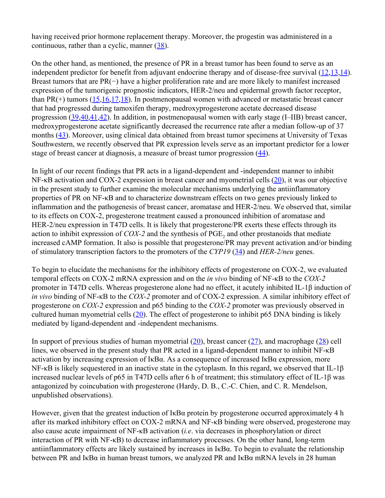having received prior hormone replacement therapy. Moreover, the progestin was administered in a continuous, rather than a cyclic, manner ([38\)](https://www.ncbi.nlm.nih.gov/pmc/articles/PMC2725768/?report=printable#B38).

On the other hand, as mentioned, the presence of PR in a breast tumor has been found to serve as an independent predictor for benefit from adjuvant endocrine therapy and of disease-free survival ([12,](https://www.ncbi.nlm.nih.gov/pmc/articles/PMC2725768/?report=printable#B12)[13,](https://www.ncbi.nlm.nih.gov/pmc/articles/PMC2725768/?report=printable#B13)[14\)](https://www.ncbi.nlm.nih.gov/pmc/articles/PMC2725768/?report=printable#B14). Breast tumors that are PR(−) have a higher proliferation rate and are more likely to manifest increased expression of the tumorigenic prognostic indicators, HER-2/neu and epidermal growth factor receptor, than  $PR(+)$  tumors  $(15,16,17,18)$  $(15,16,17,18)$  $(15,16,17,18)$  $(15,16,17,18)$  $(15,16,17,18)$ . In postmenopausal women with advanced or metastatic breast cancer that had progressed during tamoxifen therapy, medroxyprogesterone acetate decreased disease progression [\(39](https://www.ncbi.nlm.nih.gov/pmc/articles/PMC2725768/?report=printable#B39)[,40](https://www.ncbi.nlm.nih.gov/pmc/articles/PMC2725768/?report=printable#B40)[,41](https://www.ncbi.nlm.nih.gov/pmc/articles/PMC2725768/?report=printable#B41)[,42](https://www.ncbi.nlm.nih.gov/pmc/articles/PMC2725768/?report=printable#B42)). In addition, in postmenopausal women with early stage (I–IIB) breast cancer, medroxyprogesterone acetate significantly decreased the recurrence rate after a median follow-up of 37 months ([43\)](https://www.ncbi.nlm.nih.gov/pmc/articles/PMC2725768/?report=printable#B43). Moreover, using clinical data obtained from breast tumor specimens at University of Texas Southwestern, we recently observed that PR expression levels serve as an important predictor for a lower stage of breast cancer at diagnosis, a measure of breast tumor progression [\(44](https://www.ncbi.nlm.nih.gov/pmc/articles/PMC2725768/?report=printable#B44)).

In light of our recent findings that PR acts in a ligand-dependent and -independent manner to inhibit NF-κB activation and COX-2 expression in breast cancer and myometrial cells ([20\)](https://www.ncbi.nlm.nih.gov/pmc/articles/PMC2725768/?report=printable#B20), it was our objective in the present study to further examine the molecular mechanisms underlying the antiinflammatory properties of PR on NF-κB and to characterize downstream effects on two genes previously linked to inflammation and the pathogenesis of breast cancer, aromatase and HER-2/neu. We observed that, similar to its effects on COX-2, progesterone treatment caused a pronounced inhibition of aromatase and HER-2/neu expression in T47D cells. It is likely that progesterone/PR exerts these effects through its action to inhibit expression of  $COX-2$  and the synthesis of  $PGE<sub>2</sub>$  and other prostanoids that mediate increased cAMP formation. It also is possible that progesterone/PR may prevent activation and/or binding of stimulatory transcription factors to the promoters of the *CYP19* ([34\)](https://www.ncbi.nlm.nih.gov/pmc/articles/PMC2725768/?report=printable#B34) and *HER-2/neu* genes.

To begin to elucidate the mechanisms for the inhibitory effects of progesterone on COX-2, we evaluated temporal effects on COX-2 mRNA expression and on the *in vivo* binding of NF-κB to the *COX-2* promoter in T47D cells. Whereas progesterone alone had no effect, it acutely inhibited IL-1β induction of *in vivo* binding of NF-κB to the *COX-2* promoter and of COX-2 expression. A similar inhibitory effect of progesterone on *COX-2* expression and p65 binding to the *COX-2* promoter was previously observed in cultured human myometrial cells  $(20)$  $(20)$ . The effect of progesterone to inhibit p65 DNA binding is likely mediated by ligand-dependent and -independent mechanisms.

In support of previous studies of human myometrial ([20](https://www.ncbi.nlm.nih.gov/pmc/articles/PMC2725768/?report=printable#B20)), breast cancer ([27\)](https://www.ncbi.nlm.nih.gov/pmc/articles/PMC2725768/?report=printable#B27), and macrophage ([28\)](https://www.ncbi.nlm.nih.gov/pmc/articles/PMC2725768/?report=printable#B28) cell lines, we observed in the present study that PR acted in a ligand-dependent manner to inhibit NF-κB activation by increasing expression of IκBα. As a consequence of increased IκBα expression, more NF-κB is likely sequestered in an inactive state in the cytoplasm. In this regard, we observed that IL-1β increased nuclear levels of p65 in T47D cells after 6 h of treatment; this stimulatory effect of IL-1β was antagonized by coincubation with progesterone (Hardy, D. B., C.-C. Chien, and C. R. Mendelson, unpublished observations).

However, given that the greatest induction of IκBα protein by progesterone occurred approximately 4 h after its marked inhibitory effect on COX-2 mRNA and NF-κB binding were observed, progesterone may also cause acute impairment of NF-κB activation (*i.e*. via decreases in phosphorylation or direct interaction of PR with NF-κB) to decrease inflammatory processes. On the other hand, long-term antiinflammatory effects are likely sustained by increases in IκBα. To begin to evaluate the relationship between PR and I $\kappa$ B $\alpha$  in human breast tumors, we analyzed PR and I $\kappa$ B $\alpha$  mRNA levels in 28 human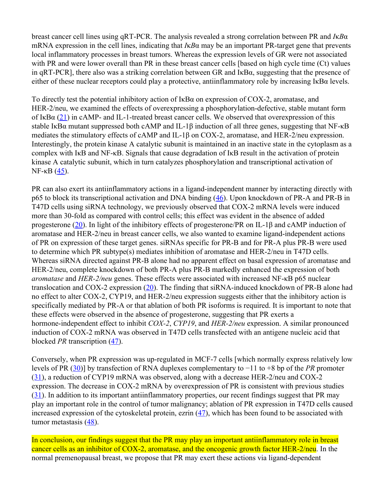breast cancer cell lines using qRT-PCR. The analysis revealed a strong correlation between PR and *I*κ*B*α mRNA expression in the cell lines, indicating that *I*κ*B*α may be an important PR-target gene that prevents local inflammatory processes in breast tumors. Whereas the expression levels of GR were not associated with PR and were lower overall than PR in these breast cancer cells [based on high cycle time (Ct) values in qRT-PCR], there also was a striking correlation between GR and IκBα, suggesting that the presence of either of these nuclear receptors could play a protective, antiinflammatory role by increasing IκBα levels.

To directly test the potential inhibitory action of  $I \kappa B\alpha$  on expression of COX-2, aromatase, and HER-2/neu, we examined the effects of overexpressing a phosphorylation-defective, stable mutant form of I $\kappa$ B $\alpha$  [\(21](https://www.ncbi.nlm.nih.gov/pmc/articles/PMC2725768/?report=printable#B21)) in cAMP- and IL-1-treated breast cancer cells. We observed that overexpression of this stable IκBα mutant suppressed both cAMP and IL-1β induction of all three genes, suggesting that NF-κB mediates the stimulatory effects of cAMP and IL-1β on COX-2, aromatase, and HER-2/neu expression. Interestingly, the protein kinase A catalytic subunit is maintained in an inactive state in the cytoplasm as a complex with IκB and NF-κB. Signals that cause degradation of IκB result in the activation of protein kinase A catalytic subunit, which in turn catalyzes phosphorylation and transcriptional activation of NF-κB ([45\)](https://www.ncbi.nlm.nih.gov/pmc/articles/PMC2725768/?report=printable#B45).

PR can also exert its antiinflammatory actions in a ligand-independent manner by interacting directly with p65 to block its transcriptional activation and DNA binding ([46\)](https://www.ncbi.nlm.nih.gov/pmc/articles/PMC2725768/?report=printable#B46). Upon knockdown of PR-A and PR-B in T47D cells using siRNA technology, we previously observed that COX-2 mRNA levels were induced more than 30-fold as compared with control cells; this effect was evident in the absence of added progesterone [\(20](https://www.ncbi.nlm.nih.gov/pmc/articles/PMC2725768/?report=printable#B20)). In light of the inhibitory effects of progesterone/PR on IL-1β and cAMP induction of aromatase and HER-2/neu in breast cancer cells, we also wanted to examine ligand-independent actions of PR on expression of these target genes. siRNAs specific for PR-B and for PR-A plus PR-B were used to determine which PR subtype(s) mediates inhibition of aromatase and HER-2/neu in T47D cells. Whereas siRNA directed against PR-B alone had no apparent effect on basal expression of aromatase and HER-2/neu, complete knockdown of both PR-A plus PR-B markedly enhanced the expression of both *aromatase* and *HER-2/neu* genes. These effects were associated with increased NF-κB p65 nuclear translocation and COX-2 expression [\(20](https://www.ncbi.nlm.nih.gov/pmc/articles/PMC2725768/?report=printable#B20)). The finding that siRNA-induced knockdown of PR-B alone had no effect to alter COX-2, CYP19, and HER-2/neu expression suggests either that the inhibitory action is specifically mediated by PR-A or that ablation of both PR isoforms is required. It is important to note that these effects were observed in the absence of progesterone, suggesting that PR exerts a hormone-independent effect to inhibit *COX-2*, *CYP19*, and *HER-2/neu* expression. A similar pronounced induction of COX-2 mRNA was observed in T47D cells transfected with an antigene nucleic acid that blocked *PR* transcription ([47\)](https://www.ncbi.nlm.nih.gov/pmc/articles/PMC2725768/?report=printable#B47).

Conversely, when PR expression was up-regulated in MCF-7 cells [which normally express relatively low levels of PR ([30](https://www.ncbi.nlm.nih.gov/pmc/articles/PMC2725768/?report=printable#B30))] by transfection of RNA duplexes complementary to −11 to +8 bp of the *PR* promoter ([31\)](https://www.ncbi.nlm.nih.gov/pmc/articles/PMC2725768/?report=printable#B31), a reduction of CYP19 mRNA was observed, along with a decrease HER-2/neu and COX-2 expression. The decrease in COX-2 mRNA by overexpression of PR is consistent with previous studies ([31\)](https://www.ncbi.nlm.nih.gov/pmc/articles/PMC2725768/?report=printable#B31). In addition to its important antiinflammatory properties, our recent findings suggest that PR may play an important role in the control of tumor malignancy; ablation of PR expression in T47D cells caused increased expression of the cytoskeletal protein, ezrin  $(47)$  $(47)$ , which has been found to be associated with tumor metastasis  $(48)$  $(48)$ .

In conclusion, our findings suggest that the PR may play an important antiinflammatory role in breast cancer cells as an inhibitor of COX-2, aromatase, and the oncogenic growth factor HER-2/neu. In the normal premenopausal breast, we propose that PR may exert these actions via ligand-dependent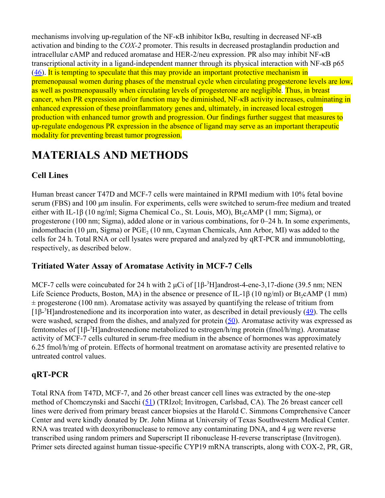mechanisms involving up-regulation of the NF- $\kappa$ B inhibitor I $\kappa$ B $\alpha$ , resulting in decreased NF- $\kappa$ B activation and binding to the *COX-2* promoter. This results in decreased prostaglandin production and intracellular cAMP and reduced aromatase and HER-2/neu expression. PR also may inhibit NF-κB transcriptional activity in a ligand-independent manner through its physical interaction with NF-κB p65 ([46\)](https://www.ncbi.nlm.nih.gov/pmc/articles/PMC2725768/?report=printable#B46). It is tempting to speculate that this may provide an important protective mechanism in premenopausal women during phases of the menstrual cycle when circulating progesterone levels are low, as well as postmenopausally when circulating levels of progesterone are negligible. Thus, in breast cancer, when PR expression and/or function may be diminished, NF-κB activity increases, culminating in enhanced expression of these proinflammatory genes and, ultimately, in increased local estrogen production with enhanced tumor growth and progression. Our findings further suggest that measures to up-regulate endogenous PR expression in the absence of ligand may serve as an important therapeutic modality for preventing breast tumor progression.

# **MATERIALS AND METHODS**

# **Cell Lines**

Human breast cancer T47D and MCF-7 cells were maintained in RPMI medium with 10% fetal bovine serum (FBS) and 100 μm insulin. For experiments, cells were switched to serum-free medium and treated either with IL-1β (10 ng/ml; Sigma Chemical Co., St. Louis, MO), Bt<sub>2</sub>cAMP (1 mm; Sigma), or progesterone (100 nm; Sigma), added alone or in various combinations, for 0–24 h. In some experiments, indomethacin (10  $\mu$ m, Sigma) or PGE<sub>2</sub> (10 nm, Cayman Chemicals, Ann Arbor, MI) was added to the cells for 24 h. Total RNA or cell lysates were prepared and analyzed by qRT-PCR and immunoblotting, respectively, as described below.

#### **Tritiated Water Assay of Aromatase Activity in MCF-7 Cells**

MCF-7 cells were coincubated for 24 h with 2 μCi of [1β-<sup>3</sup>H]androst-4-ene-3,17-dione (39.5 nm; NEN Life Science Products, Boston, MA) in the absence or presence of IL-1 $\beta$  (10 ng/ml) or Bt, cAMP (1 mm)  $\pm$  progesterone (100 nm). Aromatase activity was assayed by quantifying the release of tritium from  $[1\beta$ <sup>3</sup>H]androstenedione and its incorporation into water, as described in detail previously ([49\)](https://www.ncbi.nlm.nih.gov/pmc/articles/PMC2725768/?report=printable#B49). The cells were washed, scraped from the dishes, and analyzed for protein [\(50](https://www.ncbi.nlm.nih.gov/pmc/articles/PMC2725768/?report=printable#B50)). Aromatase activity was expressed as femtomoles of [1β-<sup>3</sup>H]androstenedione metabolized to estrogen/h/mg protein (fmol/h/mg). Aromatase activity of MCF-7 cells cultured in serum-free medium in the absence of hormones was approximately 6.25 fmol/h/mg of protein. Effects of hormonal treatment on aromatase activity are presented relative to untreated control values.

#### **qRT-PCR**

Total RNA from T47D, MCF-7, and 26 other breast cancer cell lines was extracted by the one-step method of Chomczynski and Sacchi ([51\)](https://www.ncbi.nlm.nih.gov/pmc/articles/PMC2725768/?report=printable#B51) (TRIzol; Invitrogen, Carlsbad, CA). The 26 breast cancer cell lines were derived from primary breast cancer biopsies at the Harold C. Simmons Comprehensive Cancer Center and were kindly donated by Dr. John Minna at University of Texas Southwestern Medical Center. RNA was treated with deoxyribonuclease to remove any contaminating DNA, and 4 μg were reverse transcribed using random primers and Superscript II ribonuclease H-reverse transcriptase (Invitrogen). Primer sets directed against human tissue-specific CYP19 mRNA transcripts, along with COX-2, PR, GR,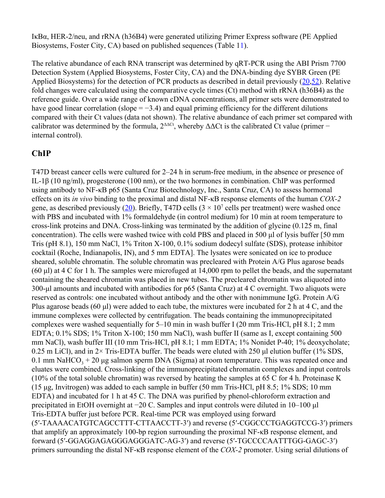IκBα, HER-2/neu, and rRNA (h36B4) were generated utilizing Primer Express software (PE Applied Biosystems, Foster City, CA) based on published sequences (Table 1[1](https://www.ncbi.nlm.nih.gov/pmc/articles/PMC2725768/table/T1/)).

The relative abundance of each RNA transcript was determined by qRT-PCR using the ABI Prism 7700 Detection System (Applied Biosystems, Foster City, CA) and the DNA-binding dye SYBR Green (PE Applied Biosystems) for the detection of PCR products as described in detail previously ([20,](https://www.ncbi.nlm.nih.gov/pmc/articles/PMC2725768/?report=printable#B20)[52\)](https://www.ncbi.nlm.nih.gov/pmc/articles/PMC2725768/?report=printable#B52). Relative fold changes were calculated using the comparative cycle times (Ct) method with rRNA (h36B4) as the reference guide. Over a wide range of known cDNA concentrations, all primer sets were demonstrated to have good linear correlation (slope  $=$  -3.4) and equal priming efficiency for the different dilutions compared with their Ct values (data not shown). The relative abundance of each primer set compared with calibrator was determined by the formula,  $2^{\Delta\Delta Ct}$ , whereby  $\Delta\Delta Ct$  is the calibrated Ct value (primer – internal control).

#### **ChIP**

T47D breast cancer cells were cultured for 2–24 h in serum-free medium, in the absence or presence of IL-1β (10 ng/ml), progesterone (100 nm), or the two hormones in combination. ChIP was performed using antibody to NF-κB p65 (Santa Cruz Biotechnology, Inc., Santa Cruz, CA) to assess hormonal effects on its *in vivo* binding to the proximal and distal NF-κB response elements of the human *COX-2* gene, as described previously  $(20)$  $(20)$ . Briefly, T47D cells  $(3 \times 10^7 \text{ cells per treatment})$  were washed once with PBS and incubated with 1% formaldehyde (in control medium) for 10 min at room temperature to cross-link proteins and DNA. Cross-linking was terminated by the addition of glycine (0.125 m, final concentration). The cells were washed twice with cold PBS and placed in 500 μl of lysis buffer [50 mm Tris (pH 8.1), 150 mm NaCl, 1% Triton X-100, 0.1% sodium dodecyl sulfate (SDS), protease inhibitor cocktail (Roche, Indianapolis, IN), and 5 mm EDTA]. The lysates were sonicated on ice to produce sheared, soluble chromatin. The soluble chromatin was precleared with Protein A/G Plus agarose beads (60 μl) at 4 C for 1 h. The samples were microfuged at 14,000 rpm to pellet the beads, and the supernatant containing the sheared chromatin was placed in new tubes. The precleared chromatin was aliquoted into 300-μl amounts and incubated with antibodies for p65 (Santa Cruz) at 4 C overnight. Two aliquots were reserved as controls: one incubated without antibody and the other with nonimmune IgG. Protein A/G Plus agarose beads (60 μl) were added to each tube, the mixtures were incubated for 2 h at 4 C, and the immune complexes were collected by centrifugation. The beads containing the immunoprecipitated complexes were washed sequentially for 5–10 min in wash buffer I (20 mm Tris-HCl, pH 8.1; 2 mm EDTA; 0.1% SDS; 1% Triton X-100; 150 mm NaCl), wash buffer II (same as I, except containing 500 mm NaCl), wash buffer III (10 mm Tris-HCl, pH 8.1; 1 mm EDTA; 1% Nonidet P-40; 1% deoxycholate; 0.25 m LiCl), and in  $2 \times$  Tris-EDTA buffer. The beads were eluted with 250 µl elution buffer (1% SDS, 0.1 mm NaHCO<sub>3</sub> + 20  $\mu$ g salmon sperm DNA (Sigma) at room temperature. This was repeated once and eluates were combined. Cross-linking of the immunoprecipitated chromatin complexes and input controls (10% of the total soluble chromatin) was reversed by heating the samples at 65 C for 4 h. Proteinase K (15 μg, Invitrogen) was added to each sample in buffer (50 mm Tris-HCl, pH 8.5; 1% SDS; 10 mm EDTA) and incubated for 1 h at 45 C. The DNA was purified by phenol-chloroform extraction and precipitated in EtOH overnight at −20 C. Samples and input controls were diluted in 10–100 μl Tris-EDTA buffer just before PCR. Real-time PCR was employed using forward (5′-TAAAACATGTCAGCCTTT-CTTAACCTT-3′) and reverse (5′-CGGCCCTGAGGTCCG-3′) primers that amplify an approximately 100-bp region surrounding the proximal NF-κB response element, and forward (5′-GGAGGAGAGGGAGGGATC-AG-3′) and reverse (5′-TGCCCCAATTTGG-GAGC-3′) primers surrounding the distal NF-κB response element of the *COX-2* promoter. Using serial dilutions of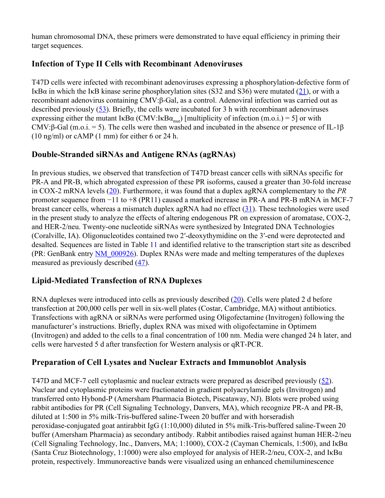human chromosomal DNA, these primers were demonstrated to have equal efficiency in priming their target sequences.

# **Infection of Type II Cells with Recombinant Adenoviruses**

T47D cells were infected with recombinant adenoviruses expressing a phosphorylation-defective form of IκBα in which the IκB kinase serine phosphorylation sites (S32 and S36) were mutated ([21\)](https://www.ncbi.nlm.nih.gov/pmc/articles/PMC2725768/?report=printable#B21), or with a recombinant adenovirus containing CMV:β-Gal, as a control. Adenoviral infection was carried out as described previously ([53](https://www.ncbi.nlm.nih.gov/pmc/articles/PMC2725768/?report=printable#B53)). Briefly, the cells were incubated for 3 h with recombinant adenoviruses expressing either the mutant IkB $\alpha$  (CMV:IkB $\alpha_{\text{mut}}$ ) [multiplicity of infection (m.o.i.) = 5] or with CMV:β-Gal (m.o.i. = 5). The cells were then washed and incubated in the absence or presence of IL-1β (10 ng/ml) or cAMP (1 mm) for either 6 or 24 h.

### **Double-Stranded siRNAs and Antigene RNAs (agRNAs)**

In previous studies, we observed that transfection of T47D breast cancer cells with siRNAs specific for PR-A and PR-B, which abrogated expression of these PR isoforms, caused a greater than 30-fold increase in COX-2 mRNA levels ([20\)](https://www.ncbi.nlm.nih.gov/pmc/articles/PMC2725768/?report=printable#B20). Furthermore, it was found that a duplex agRNA complementary to the *PR* promoter sequence from −11 to +8 (PR11) caused a marked increase in PR-A and PR-B mRNA in MCF-7 breast cancer cells, whereas a mismatch duplex agRNA had no effect [\(31](https://www.ncbi.nlm.nih.gov/pmc/articles/PMC2725768/?report=printable#B31)). These technologies were used in the present study to analyze the effects of altering endogenous PR on expression of aromatase, COX-2, and HER-2/neu. Twenty-one nucleotide siRNAs were synthesized by Integrated DNA Technologies (Coralville, IA). Oligonucleotides contained two 2′-deoxythymidine on the 3′-end were deprotected and desalted. Sequences are listed in Table [11](https://www.ncbi.nlm.nih.gov/pmc/articles/PMC2725768/table/T1/) and identified relative to the transcription start site as described (PR: GenBank entry [NM\\_000926\)](https://www.ncbi.nlm.nih.gov/nuccore/NM_000926). Duplex RNAs were made and melting temperatures of the duplexes measured as previously described  $\left(\frac{47}{2}\right)$  $\left(\frac{47}{2}\right)$  $\left(\frac{47}{2}\right)$ .

#### **Lipid-Mediated Transfection of RNA Duplexes**

RNA duplexes were introduced into cells as previously described [\(20](https://www.ncbi.nlm.nih.gov/pmc/articles/PMC2725768/?report=printable#B20)). Cells were plated 2 d before transfection at 200,000 cells per well in six-well plates (Costar, Cambridge, MA) without antibiotics. Transfections with agRNA or siRNAs were performed using Oligofectamine (Invitrogen) following the manufacturer's instructions. Briefly, duplex RNA was mixed with oligofectamine in Optimem (Invitrogen) and added to the cells to a final concentration of 100 nm. Media were changed 24 h later, and cells were harvested 5 d after transfection for Western analysis or qRT-PCR.

#### **Preparation of Cell Lysates and Nuclear Extracts and Immunoblot Analysis**

T47D and MCF-7 cell cytoplasmic and nuclear extracts were prepared as described previously ([52\)](https://www.ncbi.nlm.nih.gov/pmc/articles/PMC2725768/?report=printable#B52). Nuclear and cytoplasmic proteins were fractionated in gradient polyacrylamide gels (Invitrogen) and transferred onto Hybond-P (Amersham Pharmacia Biotech, Piscataway, NJ). Blots were probed using rabbit antibodies for PR (Cell Signaling Technology, Danvers, MA), which recognize PR-A and PR-B, diluted at 1:500 in 5% milk-Tris-buffered saline-Tween 20 buffer and with horseradish peroxidase-conjugated goat antirabbit IgG (1:10,000) diluted in 5% milk-Tris-buffered saline-Tween 20 buffer (Amersham Pharmacia) as secondary antibody. Rabbit antibodies raised against human HER-2/neu (Cell Signaling Technology, Inc., Danvers, MA; 1:1000), COX-2 (Cayman Chemicals, 1:500), and IκBα (Santa Cruz Biotechnology, 1:1000) were also employed for analysis of HER-2/neu, COX-2, and I $\kappa$ B $\alpha$ protein, respectively. Immunoreactive bands were visualized using an enhanced chemiluminescence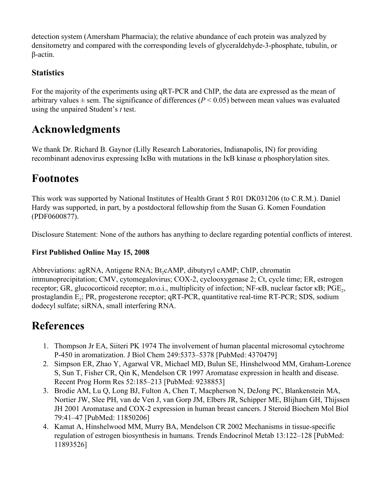detection system (Amersham Pharmacia); the relative abundance of each protein was analyzed by densitometry and compared with the corresponding levels of glyceraldehyde-3-phosphate, tubulin, or β-actin.

### **Statistics**

For the majority of the experiments using qRT-PCR and ChIP, the data are expressed as the mean of arbitrary values  $\pm$  sem. The significance of differences ( $P < 0.05$ ) between mean values was evaluated using the unpaired Student's *t* test.

# **Acknowledgments**

We thank Dr. Richard B. Gaynor (Lilly Research Laboratories, Indianapolis, IN) for providing recombinant adenovirus expressing IκBα with mutations in the IκB kinase α phosphorylation sites.

# **Footnotes**

This work was supported by National Institutes of Health Grant 5 R01 DK031206 (to C.R.M.). Daniel Hardy was supported, in part, by a postdoctoral fellowship from the Susan G. Komen Foundation (PDF0600877).

Disclosure Statement: None of the authors has anything to declare regarding potential conflicts of interest.

#### **First Published Online May 15, 2008**

Abbreviations: agRNA, Antigene RNA; Bt<sub>2</sub>cAMP, dibutyryl cAMP; ChIP, chromatin immunoprecipitation; CMV, cytomegalovirus; COX-2, cyclooxygenase 2; Ct, cycle time; ER, estrogen receptor; GR, glucocorticoid receptor; m.o.i., multiplicity of infection; NF-κB, nuclear factor κB; PGE<sub>2</sub>, prostaglandin E<sub>2</sub>; PR, progesterone receptor; qRT-PCR, quantitative real-time RT-PCR; SDS, sodium dodecyl sulfate; siRNA, small interfering RNA.

# **References**

- 1. Thompson Jr EA, Siiteri PK 1974 The involvement of human placental microsomal cytochrome P-450 in aromatization. J Biol Chem 249:5373–5378 [PubMed: 4370479]
- 2. Simpson ER, Zhao Y, Agarwal VR, Michael MD, Bulun SE, Hinshelwood MM, Graham-Lorence S, Sun T, Fisher CR, Qin K, Mendelson CR 1997 Aromatase expression in health and disease. Recent Prog Horm Res 52:185–213 [PubMed: 9238853]
- 3. Brodie AM, Lu Q, Long BJ, Fulton A, Chen T, Macpherson N, DeJong PC, Blankenstein MA, Nortier JW, Slee PH, van de Ven J, van Gorp JM, Elbers JR, Schipper ME, Blijham GH, Thijssen JH 2001 Aromatase and COX-2 expression in human breast cancers. J Steroid Biochem Mol Biol 79:41–47 [PubMed: 11850206]
- 4. Kamat A, Hinshelwood MM, Murry BA, Mendelson CR 2002 Mechanisms in tissue-specific regulation of estrogen biosynthesis in humans. Trends Endocrinol Metab 13:122–128 [PubMed: 11893526]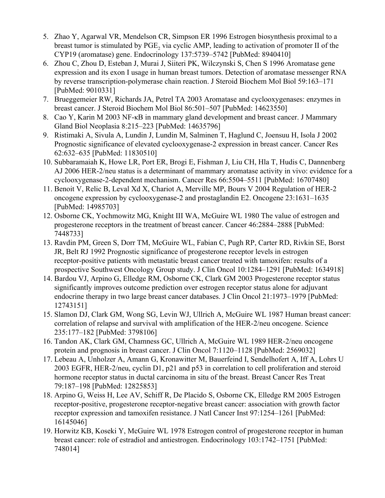- 5. Zhao Y, Agarwal VR, Mendelson CR, Simpson ER 1996 Estrogen biosynthesis proximal to a breast tumor is stimulated by  $PGE_2$  via cyclic AMP, leading to activation of promoter II of the CYP19 (aromatase) gene. Endocrinology 137:5739–5742 [PubMed: 8940410]
- 6. Zhou C, Zhou D, Esteban J, Murai J, Siiteri PK, Wilczynski S, Chen S 1996 Aromatase gene expression and its exon I usage in human breast tumors. Detection of aromatase messenger RNA by reverse transcription-polymerase chain reaction. J Steroid Biochem Mol Biol 59:163–171 [PubMed: 9010331]
- 7. Brueggemeier RW, Richards JA, Petrel TA 2003 Aromatase and cyclooxygenases: enzymes in breast cancer. J Steroid Biochem Mol Biol 86:501–507 [PubMed: 14623550]
- 8. Cao Y, Karin M 2003 NF-κB in mammary gland development and breast cancer. J Mammary Gland Biol Neoplasia 8:215–223 [PubMed: 14635796]
- 9. Ristimaki A, Sivula A, Lundin J, Lundin M, Salminen T, Haglund C, Joensuu H, Isola J 2002 Prognostic significance of elevated cyclooxygenase-2 expression in breast cancer. Cancer Res 62:632–635 [PubMed: 11830510]
- 10. Subbaramaiah K, Howe LR, Port ER, Brogi E, Fishman J, Liu CH, Hla T, Hudis C, Dannenberg AJ 2006 HER-2/neu status is a determinant of mammary aromatase activity in vivo: evidence for a cyclooxygenase-2-dependent mechanism. Cancer Res 66:5504–5511 [PubMed: 16707480]
- 11. Benoit V, Relic B, Leval Xd X, Chariot A, Merville MP, Bours V 2004 Regulation of HER-2 oncogene expression by cyclooxygenase-2 and prostaglandin E2. Oncogene 23:1631–1635 [PubMed: 14985703]
- 12. Osborne CK, Yochmowitz MG, Knight III WA, McGuire WL 1980 The value of estrogen and progesterone receptors in the treatment of breast cancer. Cancer 46:2884–2888 [PubMed: 7448733]
- 13. Ravdin PM, Green S, Dorr TM, McGuire WL, Fabian C, Pugh RP, Carter RD, Rivkin SE, Borst JR, Belt RJ 1992 Prognostic significance of progesterone receptor levels in estrogen receptor-positive patients with metastatic breast cancer treated with tamoxifen: results of a prospective Southwest Oncology Group study. J Clin Oncol 10:1284–1291 [PubMed: 1634918]
- 14. Bardou VJ, Arpino G, Elledge RM, Osborne CK, Clark GM 2003 Progesterone receptor status significantly improves outcome prediction over estrogen receptor status alone for adjuvant endocrine therapy in two large breast cancer databases. J Clin Oncol 21:1973–1979 [PubMed: 12743151]
- 15. Slamon DJ, Clark GM, Wong SG, Levin WJ, Ullrich A, McGuire WL 1987 Human breast cancer: correlation of relapse and survival with amplification of the HER-2/neu oncogene. Science 235:177–182 [PubMed: 3798106]
- 16. Tandon AK, Clark GM, Chamness GC, Ullrich A, McGuire WL 1989 HER-2/neu oncogene protein and prognosis in breast cancer. J Clin Oncol 7:1120–1128 [PubMed: 2569032]
- 17. Lebeau A, Unholzer A, Amann G, Kronawitter M, Bauerfeind I, Sendelhofert A, Iff A, Lohrs U 2003 EGFR, HER-2/neu, cyclin D1, p21 and p53 in correlation to cell proliferation and steroid hormone receptor status in ductal carcinoma in situ of the breast. Breast Cancer Res Treat 79:187–198 [PubMed: 12825853]
- 18. Arpino G, Weiss H, Lee AV, Schiff R, De Placido S, Osborne CK, Elledge RM 2005 Estrogen receptor-positive, progesterone receptor-negative breast cancer: association with growth factor receptor expression and tamoxifen resistance. J Natl Cancer Inst 97:1254–1261 [PubMed: 16145046]
- 19. Horwitz KB, Koseki Y, McGuire WL 1978 Estrogen control of progesterone receptor in human breast cancer: role of estradiol and antiestrogen. Endocrinology 103:1742–1751 [PubMed: 748014]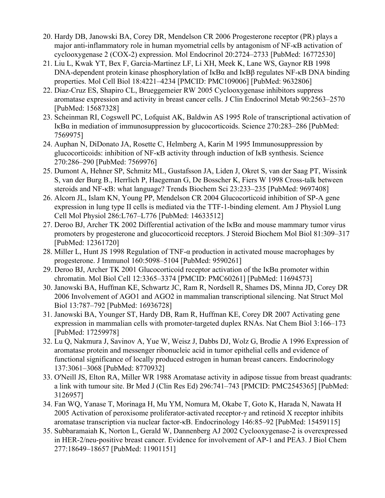- 20. Hardy DB, Janowski BA, Corey DR, Mendelson CR 2006 Progesterone receptor (PR) plays a major anti-inflammatory role in human myometrial cells by antagonism of NF-κB activation of cyclooxygenase 2 (COX-2) expression. Mol Endocrinol 20:2724–2733 [PubMed: 16772530]
- 21. Liu L, Kwak YT, Bex F, Garcia-Martinez LF, Li XH, Meek K, Lane WS, Gaynor RB 1998 DNA-dependent protein kinase phosphorylation of IκBα and IκBβ regulates NF-κB DNA binding properties. Mol Cell Biol 18:4221–4234 [PMCID: PMC109006] [PubMed: 9632806]
- 22. Diaz-Cruz ES, Shapiro CL, Brueggemeier RW 2005 Cyclooxygenase inhibitors suppress aromatase expression and activity in breast cancer cells. J Clin Endocrinol Metab 90:2563–2570 [PubMed: 15687328]
- 23. Scheinman RI, Cogswell PC, Lofquist AK, Baldwin AS 1995 Role of transcriptional activation of IκBα in mediation of immunosuppression by glucocorticoids. Science 270:283–286 [PubMed: 7569975]
- 24. Auphan N, DiDonato JA, Rosette C, Helmberg A, Karin M 1995 Immunosuppression by glucocorticoids: inhibition of NF-κB activity through induction of IκB synthesis. Science 270:286–290 [PubMed: 7569976]
- 25. Dumont A, Hehner SP, Schmitz ML, Gustafsson JA, Liden J, Okret S, van der Saag PT, Wissink S, van der Burg B., Herrlich P, Haegeman G, De Bosscher K, Fiers W 1998 Cross-talk between steroids and NF-κB: what language? Trends Biochem Sci 23:233–235 [PubMed: 9697408]
- 26. Alcorn JL, Islam KN, Young PP, Mendelson CR 2004 Glucocorticoid inhibition of SP-A gene expression in lung type II cells is mediated via the TTF-1-binding element. Am J Physiol Lung Cell Mol Physiol 286:L767–L776 [PubMed: 14633512]
- 27. Deroo BJ, Archer TK 2002 Differential activation of the IκBα and mouse mammary tumor virus promoters by progesterone and glucocorticoid receptors. J Steroid Biochem Mol Biol 81:309–317 [PubMed: 12361720]
- 28. Miller L, Hunt JS 1998 Regulation of TNF- $\alpha$  production in activated mouse macrophages by progesterone. J Immunol 160:5098–5104 [PubMed: 9590261]
- 29. Deroo BJ, Archer TK 2001 Glucocorticoid receptor activation of the IκBα promoter within chromatin. Mol Biol Cell 12:3365–3374 [PMCID: PMC60261] [PubMed: 11694573]
- 30. Janowski BA, Huffman KE, Schwartz JC, Ram R, Nordsell R, Shames DS, Minna JD, Corey DR 2006 Involvement of AGO1 and AGO2 in mammalian transcriptional silencing. Nat Struct Mol Biol 13:787–792 [PubMed: 16936728]
- 31. Janowski BA, Younger ST, Hardy DB, Ram R, Huffman KE, Corey DR 2007 Activating gene expression in mammalian cells with promoter-targeted duplex RNAs. Nat Chem Biol 3:166–173 [PubMed: 17259978]
- 32. Lu Q, Nakmura J, Savinov A, Yue W, Weisz J, Dabbs DJ, Wolz G, Brodie A 1996 Expression of aromatase protein and messenger ribonucleic acid in tumor epithelial cells and evidence of functional significance of locally produced estrogen in human breast cancers. Endocrinology 137:3061–3068 [PubMed: 8770932]
- 33. O'Neill JS, Elton RA, Miller WR 1988 Aromatase activity in adipose tissue from breast quadrants: a link with tumour site. Br Med J (Clin Res Ed) 296:741–743 [PMCID: PMC2545365] [PubMed: 3126957]
- 34. Fan WQ, Yanase T, Morinaga H, Mu YM, Nomura M, Okabe T, Goto K, Harada N, Nawata H 2005 Activation of peroxisome proliferator-activated receptor-γ and retinoid X receptor inhibits aromatase transcription via nuclear factor-κB. Endocrinology 146:85–92 [PubMed: 15459115]
- 35. Subbaramaiah K, Norton L, Gerald W, Dannenberg AJ 2002 Cyclooxygenase-2 is overexpressed in HER-2/neu-positive breast cancer. Evidence for involvement of AP-1 and PEA3. J Biol Chem 277:18649–18657 [PubMed: 11901151]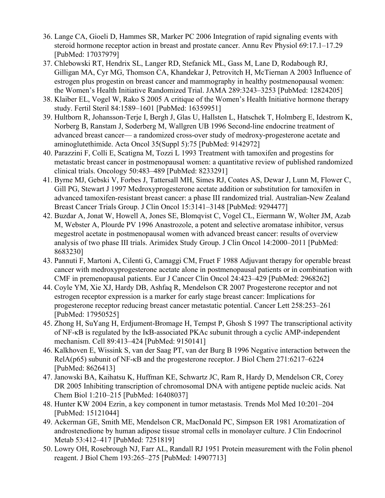- 36. Lange CA, Gioeli D, Hammes SR, Marker PC 2006 Integration of rapid signaling events with steroid hormone receptor action in breast and prostate cancer. Annu Rev Physiol 69:17.1–17.29 [PubMed: 17037979]
- 37. Chlebowski RT, Hendrix SL, Langer RD, Stefanick ML, Gass M, Lane D, Rodabough RJ, Gilligan MA, Cyr MG, Thomson CA, Khandekar J, Petrovitch H, McTiernan A 2003 Influence of estrogen plus progestin on breast cancer and mammography in healthy postmenopausal women: the Women's Health Initiative Randomized Trial. JAMA 289:3243–3253 [PubMed: 12824205]
- 38. Klaiber EL, Vogel W, Rako S 2005 A critique of the Women's Health Initiative hormone therapy study. Fertil Steril 84:1589–1601 [PubMed: 16359951]
- 39. Hultborn R, Johansson-Terje I, Bergh J, Glas U, Hallsten L, Hatschek T, Holmberg E, Idestrom K, Norberg B, Ranstam J, Soderberg M, Wallgren UB 1996 Second-line endocrine treatment of advanced breast cancer— a randomized cross-over study of medroxy-progesterone acetate and aminoglutethimide. Acta Oncol 35(Suppl 5):75 [PubMed: 9142972]
- 40. Parazzini F, Colli E, Scatigna M, Tozzi L 1993 Treatment with tamoxifen and progestins for metastatic breast cancer in postmenopausal women: a quantitative review of published randomized clinical trials. Oncology 50:483–489 [PubMed: 8233291]
- 41. Byrne MJ, Gebski V, Forbes J, Tattersall MH, Simes RJ, Coates AS, Dewar J, Lunn M, Flower C, Gill PG, Stewart J 1997 Medroxyprogesterone acetate addition or substitution for tamoxifen in advanced tamoxifen-resistant breast cancer: a phase III randomized trial. Australian-New Zealand Breast Cancer Trials Group. J Clin Oncol 15:3141–3148 [PubMed: 9294477]
- 42. Buzdar A, Jonat W, Howell A, Jones SE, Blomqvist C, Vogel CL, Eiermann W, Wolter JM, Azab M, Webster A, Plourde PV 1996 Anastrozole, a potent and selective aromatase inhibitor, versus megestrol acetate in postmenopausal women with advanced breast cancer: results of overview analysis of two phase III trials. Arimidex Study Group. J Clin Oncol 14:2000–2011 [PubMed: 8683230]
- 43. Pannuti F, Martoni A, Cilenti G, Camaggi CM, Fruet F 1988 Adjuvant therapy for operable breast cancer with medroxyprogesterone acetate alone in postmenopausal patients or in combination with CMF in premenopausal patients. Eur J Cancer Clin Oncol 24:423–429 [PubMed: 2968262]
- 44. Coyle YM, Xie XJ, Hardy DB, Ashfaq R, Mendelson CR 2007 Progesterone receptor and not estrogen receptor expression is a marker for early stage breast cancer: Implications for progesterone receptor reducing breast cancer metastatic potential. Cancer Lett 258:253–261 [PubMed: 17950525]
- 45. Zhong H, SuYang H, Erdjument-Bromage H, Tempst P, Ghosh S 1997 The transcriptional activity of NF-κB is regulated by the IκB-associated PKAc subunit through a cyclic AMP-independent mechanism. Cell 89:413–424 [PubMed: 9150141]
- 46. Kalkhoven E, Wissink S, van der Saag PT, van der Burg B 1996 Negative interaction between the RelA(p65) subunit of NF-κB and the progesterone receptor. J Biol Chem 271:6217–6224 [PubMed: 8626413]
- 47. Janowski BA, Kaihatsu K, Huffman KE, Schwartz JC, Ram R, Hardy D, Mendelson CR, Corey DR 2005 Inhibiting transcription of chromosomal DNA with antigene peptide nucleic acids. Nat Chem Biol 1:210–215 [PubMed: 16408037]
- 48. Hunter KW 2004 Ezrin, a key component in tumor metastasis. Trends Mol Med 10:201–204 [PubMed: 15121044]
- 49. Ackerman GE, Smith ME, Mendelson CR, MacDonald PC, Simpson ER 1981 Aromatization of androstenedione by human adipose tissue stromal cells in monolayer culture. J Clin Endocrinol Metab 53:412–417 [PubMed: 7251819]
- 50. Lowry OH, Rosebrough NJ, Farr AL, Randall RJ 1951 Protein measurement with the Folin phenol reagent. J Biol Chem 193:265–275 [PubMed: 14907713]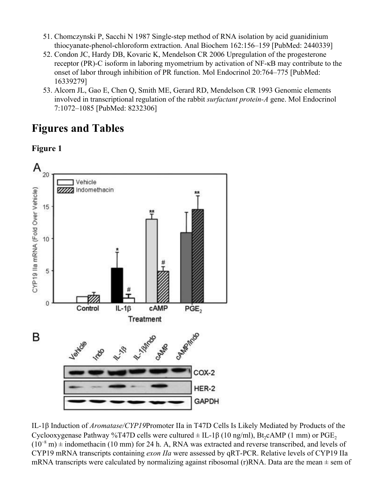- 51. Chomczynski P, Sacchi N 1987 Single-step method of RNA isolation by acid guanidinium thiocyanate-phenol-chloroform extraction. Anal Biochem 162:156–159 [PubMed: 2440339]
- 52. Condon JC, Hardy DB, Kovaric K, Mendelson CR 2006 Upregulation of the progesterone receptor (PR)-C isoform in laboring myometrium by activation of NF-κB may contribute to the onset of labor through inhibition of PR function. Mol Endocrinol 20:764–775 [PubMed: 16339279]
- 53. Alcorn JL, Gao E, Chen Q, Smith ME, Gerard RD, Mendelson CR 1993 Genomic elements involved in transcriptional regulation of the rabbit *surfactant protein-A* gene. Mol Endocrinol 7:1072–1085 [PubMed: 8232306]

# **Figures and Tables**





IL-1β Induction of *Aromatase/CYP19*Promoter IIa in T47D Cells Is Likely Mediated by Products of the Cyclooxygenase Pathway %T47D cells were cultured  $\pm$  IL-1 $\beta$  (10 ng/ml), Bt, cAMP (1 mm) or PGE,  $(10^{-8} \text{ m}) \pm \text{indomethacin}$  (10 mm) for 24 h. A, RNA was extracted and reverse transcribed, and levels of CYP19 mRNA transcripts containing *exon IIa* were assessed by qRT-PCR. Relative levels of CYP19 IIa mRNA transcripts were calculated by normalizing against ribosomal (r)RNA. Data are the mean  $\pm$  sem of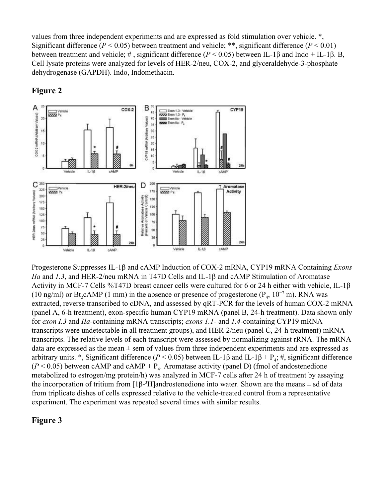values from three independent experiments and are expressed as fold stimulation over vehicle. \*, Significant difference ( $P < 0.05$ ) between treatment and vehicle; \*\*, significant difference ( $P < 0.01$ ) between treatment and vehicle; # , significant difference (*P* < 0.05) between IL-1β and Indo + IL-1β. B, Cell lysate proteins were analyzed for levels of HER-2/neu, COX-2, and glyceraldehyde-3-phosphate dehydrogenase (GAPDH). Indo, Indomethacin.

# **Figure 2**



Progesterone Suppresses IL-1β and cAMP Induction of COX-2 mRNA, CYP19 mRNA Containing *Exons IIa* and *1.3*, and HER-2/neu mRNA in T47D Cells and IL-1β and cAMP Stimulation of Aromatase Activity in MCF-7 Cells %T47D breast cancer cells were cultured for 6 or 24 h either with vehicle, IL-1β (10 ng/ml) or Bt<sub>2</sub>cAMP (1 mm) in the absence or presence of progesterone ( $P_4$ , 10<sup>-7</sup> m). RNA was extracted, reverse transcribed to cDNA, and assessed by qRT-PCR for the levels of human COX-2 mRNA (panel A, 6-h treatment), exon-specific human CYP19 mRNA (panel B, 24-h treatment). Data shown only for *exon I.3* and *IIa*-containing mRNA transcripts; *exons 1.1*- and *1.4*-containing CYP19 mRNA transcripts were undetectable in all treatment groups), and HER-2/neu (panel C, 24-h treatment) mRNA transcripts. The relative levels of each transcript were assessed by normalizing against rRNA. The mRNA data are expressed as the mean  $\pm$  sem of values from three independent experiments and are expressed as arbitrary units. \*, Significant difference ( $P < 0.05$ ) between IL-1 $\beta$  and IL-1 $\beta$  +  $P_4$ ; #, significant difference  $(P < 0.05)$  between cAMP and cAMP +  $P_4$ . Aromatase activity (panel D) (fmol of andostenedione metabolized to estrogen/mg protein/h) was analyzed in MCF-7 cells after 24 h of treatment by assaying the incorporation of tritium from [1 $\beta$ -3H]androstenedione into water. Shown are the means  $\pm$  sd of data from triplicate dishes of cells expressed relative to the vehicle-treated control from a representative experiment. The experiment was repeated several times with similar results.

# **Figure 3**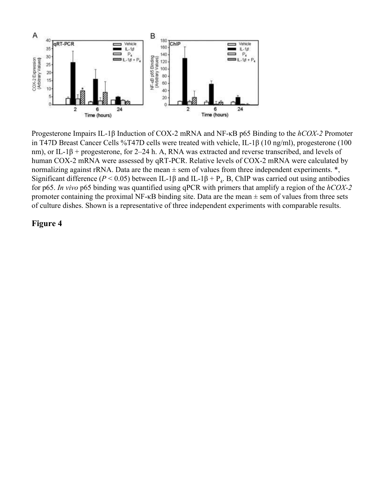

Progesterone Impairs IL-1β Induction of COX-2 mRNA and NF-κB p65 Binding to the *hCOX-2* Promoter in T47D Breast Cancer Cells %T47D cells were treated with vehicle, IL-1β (10 ng/ml), progesterone (100 nm), or IL-1β + progesterone, for 2–24 h. A, RNA was extracted and reverse transcribed, and levels of human COX-2 mRNA were assessed by qRT-PCR. Relative levels of COX-2 mRNA were calculated by normalizing against rRNA. Data are the mean  $\pm$  sem of values from three independent experiments.  $*,$ Significant difference ( $P < 0.05$ ) between IL-1 $\beta$  and IL-1 $\beta + P_4$ . B, ChIP was carried out using antibodies for p65. *In vivo* p65 binding was quantified using qPCR with primers that amplify a region of the *hCOX-2* promoter containing the proximal NF- $κB$  binding site. Data are the mean  $±$  sem of values from three sets of culture dishes. Shown is a representative of three independent experiments with comparable results.

#### **Figure 4**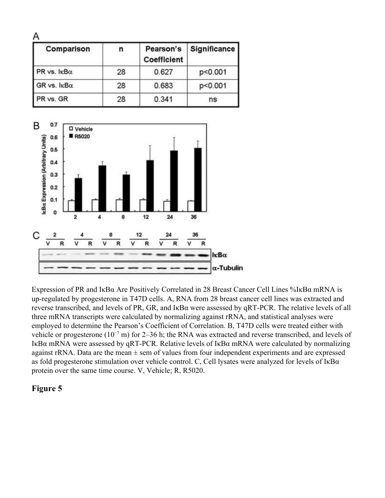| Comparison           | n  | Pearson's<br>Coefficient | <b>Significance</b> |
|----------------------|----|--------------------------|---------------------|
| $PR vs.$ kB $\alpha$ | 28 | 0.627                    | p<0.001             |
| $GR vs.$ kB $\alpha$ | 28 | 0.683                    | p<0.001             |
| PR vs. GR            | 28 | 0.341                    | ns                  |



Expression of PR and IκBα Are Positively Correlated in 28 Breast Cancer Cell Lines %IκBα mRNA is up-regulated by progesterone in T47D cells. A, RNA from 28 breast cancer cell lines was extracted and reverse transcribed, and levels of PR, GR, and IκBα were assessed by qRT-PCR. The relative levels of all three mRNA transcripts were calculated by normalizing against rRNA, and statistical analyses were employed to determine the Pearson's Coefficient of Correlation. B, T47D cells were treated either with vehicle or progesterone (10−7 m) for 2–36 h; the RNA was extracted and reverse transcribed, and levels of IκBα mRNA were assessed by qRT-PCR. Relative levels of IκBα mRNA were calculated by normalizing against rRNA. Data are the mean  $\pm$  sem of values from four independent experiments and are expressed as fold progesterone stimulation over vehicle control. C, Cell lysates were analyzed for levels of IκBα protein over the same time course. V, Vehicle; R, R5020.

#### **Figure 5**

Δ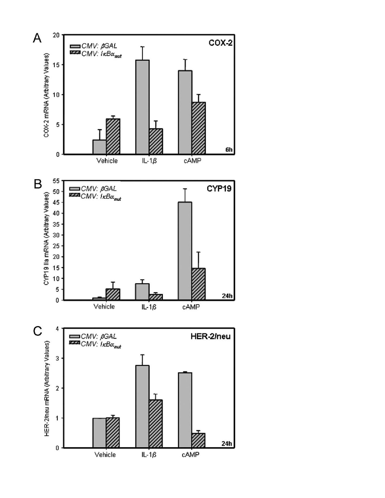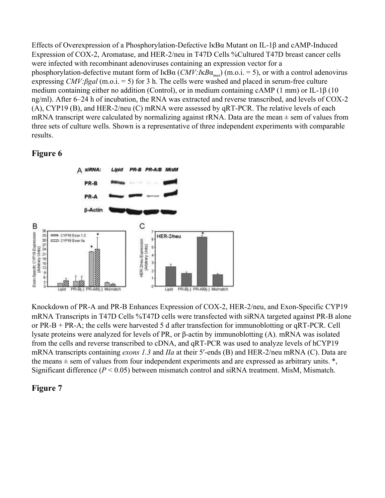Effects of Overexpression of a Phosphorylation-Defective IκBα Mutant on IL-1β and cAMP-Induced Expression of COX-2, Aromatase, and HER-2/neu in T47D Cells %Cultured T47D breast cancer cells were infected with recombinant adenoviruses containing an expression vector for a phosphorylation-defective mutant form of IκBα (*CMV:I*κ*B*α*mut* ) (m.o.i. = 5), or with a control adenovirus expressing *CMV:βgal* (m.o.i. = 5) for 3 h. The cells were washed and placed in serum-free culture medium containing either no addition (Control), or in medium containing cAMP (1 mm) or IL-1β (10 ng/ml). After 6–24 h of incubation, the RNA was extracted and reverse transcribed, and levels of COX-2 (A), CYP19 (B), and HER-2/neu (C) mRNA were assessed by qRT-PCR. The relative levels of each mRNA transcript were calculated by normalizing against rRNA. Data are the mean  $\pm$  sem of values from three sets of culture wells. Shown is a representative of three independent experiments with comparable results.

#### **Figure 6**



Knockdown of PR-A and PR-B Enhances Expression of COX-2, HER-2/neu, and Exon-Specific CYP19 mRNA Transcripts in T47D Cells %T47D cells were transfected with siRNA targeted against PR-B alone or PR-B + PR-A; the cells were harvested 5 d after transfection for immunoblotting or qRT-PCR. Cell lysate proteins were analyzed for levels of PR, or β-actin by immunoblotting (A). mRNA was isolated from the cells and reverse transcribed to cDNA, and qRT-PCR was used to analyze levels of hCYP19 mRNA transcripts containing *exons 1.3* and *IIa* at their 5′-ends (B) and HER-2/neu mRNA (C). Data are the means  $\pm$  sem of values from four independent experiments and are expressed as arbitrary units.  $\ast$ , Significant difference (*P* < 0.05) between mismatch control and siRNA treatment. MisM, Mismatch.

# **Figure 7**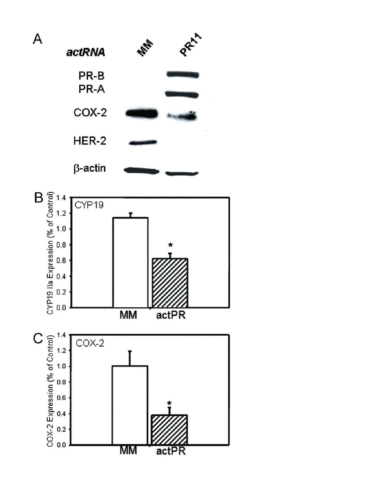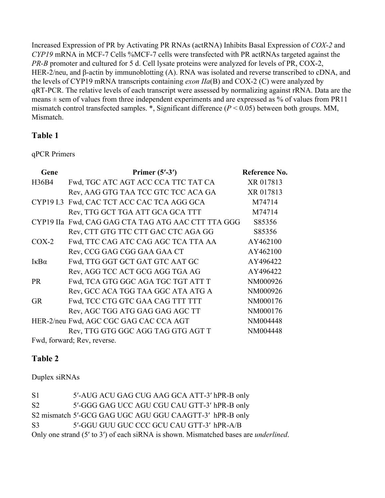Increased Expression of PR by Activating PR RNAs (actRNA) Inhibits Basal Expression of *COX-2* and *CYP19* mRNA in MCF-7 Cells %MCF-7 cells were transfected with PR actRNAs targeted against the *PR-B* promoter and cultured for 5 d. Cell lysate proteins were analyzed for levels of PR, COX-2, HER-2/neu, and β-actin by immunoblotting (A). RNA was isolated and reverse transcribed to cDNA, and the levels of CYP19 mRNA transcripts containing *exon IIa*(B) and COX-2 (C) were analyzed by qRT-PCR. The relative levels of each transcript were assessed by normalizing against rRNA. Data are the means  $\pm$  sem of values from three independent experiments and are expressed as % of values from PR11 mismatch control transfected samples. \*, Significant difference (*P* < 0.05) between both groups. MM, Mismatch.

# **Table 1**

#### qPCR Primers

| Gene                                   | Primer $(5'$ -3')                                  | Reference No. |
|----------------------------------------|----------------------------------------------------|---------------|
| H36B4                                  | Fwd, TGC ATC AGT ACC CCA TTC TAT CA                | XR 017813     |
|                                        | Rev, AAG GTG TAA TCC GTC TCC ACA GA                | XR 017813     |
|                                        | CYP19 I.3 Fwd, CAC TCT ACC CAC TCA AGG GCA         | M74714        |
|                                        | Rev, TTG GCT TGA ATT GCA GCA TTT                   | M74714        |
|                                        | CYP19 IIa Fwd, CAG GAG CTA TAG ATG AAC CTT TTA GGG | S85356        |
|                                        | Rev, CTT GTG TTC CTT GAC CTC AGA GG                | S85356        |
| $COX-2$                                | Fwd, TTC CAG ATC CAG AGC TCA TTA AA                | AY462100      |
|                                        | Rev, CCG GAG CGG GAA GAA CT                        | AY462100      |
| $I\kappa B\alpha$                      | Fwd, TTG GGT GCT GAT GTC AAT GC                    | AY496422      |
|                                        | Rev, AGG TCC ACT GCG AGG TGA AG                    | AY496422      |
| <b>PR</b>                              | Fwd, TCA GTG GGC AGA TGC TGT ATT T                 | NM000926      |
|                                        | Rev, GCC ACA TGG TAA GGC ATA ATG A                 | NM000926      |
| <b>GR</b>                              | Fwd, TCC CTG GTC GAA CAG TTT TTT                   | NM000176      |
|                                        | Rev, AGC TGG ATG GAG GAG AGC TT                    | NM000176      |
| HER-2/neu Fwd, AGC CGC GAG CAC CCA AGT |                                                    | NM004448      |
|                                        | Rev, TTG GTG GGC AGG TAG GTG AGT T                 | NM004448      |
|                                        | Fwd, forward; Rev, reverse.                        |               |

# **Table 2**

#### Duplex siRNAs

| S1                                                                                          | 5'-AUG ACU GAG CUG AAG GCA ATT-3' hPR-B only            |  |
|---------------------------------------------------------------------------------------------|---------------------------------------------------------|--|
| S <sub>2</sub>                                                                              | 5'-GGG GAG UCC AGU CGU CAU GTT-3' hPR-B only            |  |
|                                                                                             | S2 mismatch 5'-GCG GAG UGC AGU GGU CAAGTT-3' hPR-B only |  |
| S <sub>3</sub>                                                                              | 5'-GGU GUU GUC CCC GCU CAU GTT-3' hPR-A/B               |  |
| Only one strand (5' to 3') of each siRNA is shown. Mismatched bases are <i>underlined</i> . |                                                         |  |